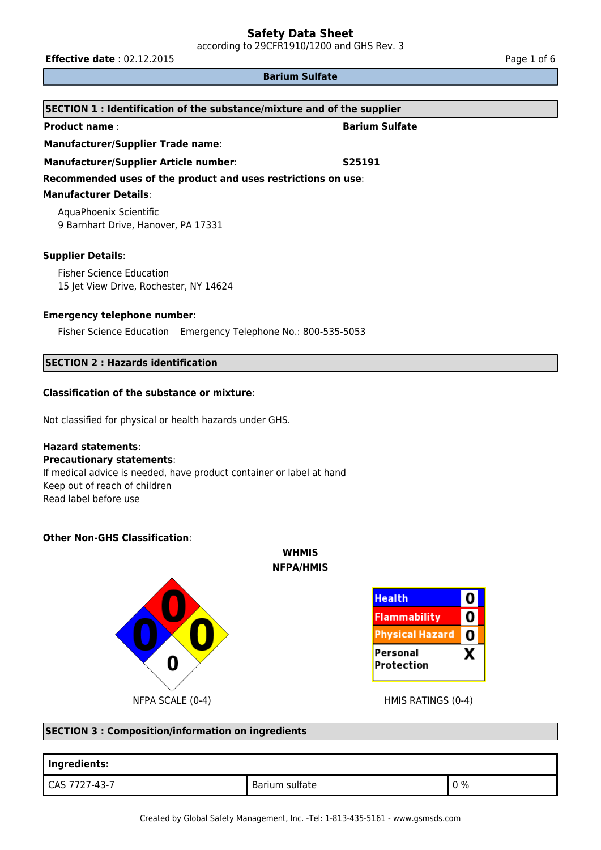according to 29CFR1910/1200 and GHS Rev. 3

**Effective date** : 02.12.2015 **Page 1 of 6 Page 1 of 6 Page 1 of 6** 

#### **Barium Sulfate**

| SECTION 1: Identification of the substance/mixture and of the supplier    |                       |  |
|---------------------------------------------------------------------------|-----------------------|--|
| <b>Product name:</b>                                                      | <b>Barium Sulfate</b> |  |
| <b>Manufacturer/Supplier Trade name:</b>                                  |                       |  |
| Manufacturer/Supplier Article number:                                     | S25191                |  |
| Recommended uses of the product and uses restrictions on use:             |                       |  |
| <b>Manufacturer Details:</b>                                              |                       |  |
| AquaPhoenix Scientific<br>9 Barnhart Drive, Hanover, PA 17331             |                       |  |
| <b>Supplier Details:</b>                                                  |                       |  |
| <b>Fisher Science Education</b><br>15 Jet View Drive, Rochester, NY 14624 |                       |  |
| <b>Emergency telephone number:</b>                                        |                       |  |
| Fisher Science Education Emergency Telephone No.: 800-535-5053            |                       |  |

# **SECTION 2 : Hazards identification**

## **Classification of the substance or mixture**:

Not classified for physical or health hazards under GHS.

## **Hazard statements**:

#### **Precautionary statements**:

If medical advice is needed, have product container or label at hand Keep out of reach of children Read label before use

## **Other Non-GHS Classification**:





#### **SECTION 3 : Composition/information on ingredients**

| Ingredients:  |                       |    |
|---------------|-----------------------|----|
| CAS 7727-43-7 | <b>Barium sulfate</b> | 0% |

**WHMIS NFPA/HMIS**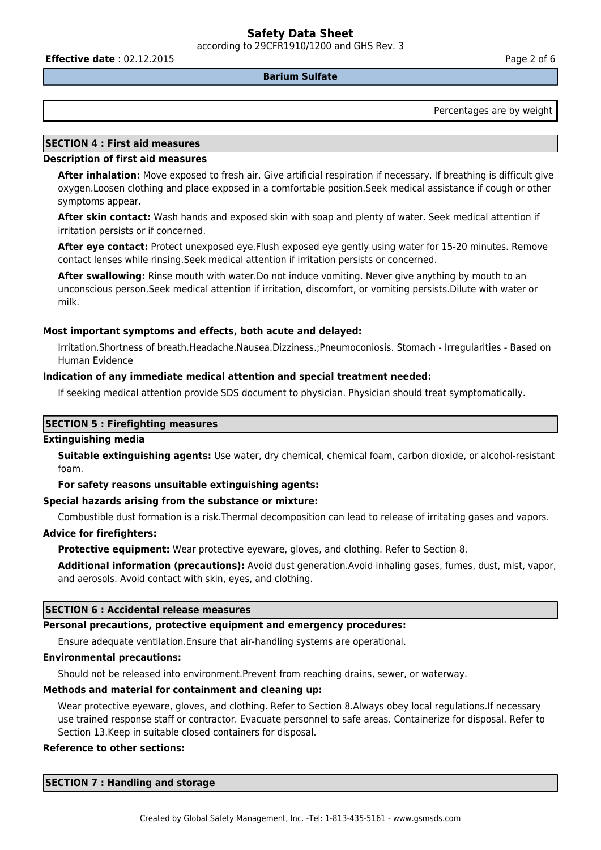according to 29CFR1910/1200 and GHS Rev. 3

**Effective date** : 02.12.2015 **Page 2 of 6 Page 2 of 6 Page 2 of 6** 

#### **Barium Sulfate**

Percentages are by weight

## **SECTION 4 : First aid measures**

#### **Description of first aid measures**

**After inhalation:** Move exposed to fresh air. Give artificial respiration if necessary. If breathing is difficult give oxygen.Loosen clothing and place exposed in a comfortable position.Seek medical assistance if cough or other symptoms appear.

**After skin contact:** Wash hands and exposed skin with soap and plenty of water. Seek medical attention if irritation persists or if concerned.

**After eye contact:** Protect unexposed eye.Flush exposed eye gently using water for 15-20 minutes. Remove contact lenses while rinsing.Seek medical attention if irritation persists or concerned.

**After swallowing:** Rinse mouth with water.Do not induce vomiting. Never give anything by mouth to an unconscious person.Seek medical attention if irritation, discomfort, or vomiting persists.Dilute with water or milk.

#### **Most important symptoms and effects, both acute and delayed:**

Irritation.Shortness of breath.Headache.Nausea.Dizziness.;Pneumoconiosis. Stomach - Irregularities - Based on Human Evidence

#### **Indication of any immediate medical attention and special treatment needed:**

If seeking medical attention provide SDS document to physician. Physician should treat symptomatically.

## **SECTION 5 : Firefighting measures**

#### **Extinguishing media**

**Suitable extinguishing agents:** Use water, dry chemical, chemical foam, carbon dioxide, or alcohol-resistant foam.

#### **For safety reasons unsuitable extinguishing agents:**

#### **Special hazards arising from the substance or mixture:**

Combustible dust formation is a risk.Thermal decomposition can lead to release of irritating gases and vapors.

#### **Advice for firefighters:**

**Protective equipment:** Wear protective eyeware, gloves, and clothing. Refer to Section 8.

**Additional information (precautions):** Avoid dust generation.Avoid inhaling gases, fumes, dust, mist, vapor, and aerosols. Avoid contact with skin, eyes, and clothing.

#### **SECTION 6 : Accidental release measures**

#### **Personal precautions, protective equipment and emergency procedures:**

Ensure adequate ventilation.Ensure that air-handling systems are operational.

#### **Environmental precautions:**

Should not be released into environment.Prevent from reaching drains, sewer, or waterway.

#### **Methods and material for containment and cleaning up:**

Wear protective eyeware, gloves, and clothing. Refer to Section 8.Always obey local regulations.If necessary use trained response staff or contractor. Evacuate personnel to safe areas. Containerize for disposal. Refer to Section 13.Keep in suitable closed containers for disposal.

#### **Reference to other sections:**

**SECTION 7 : Handling and storage**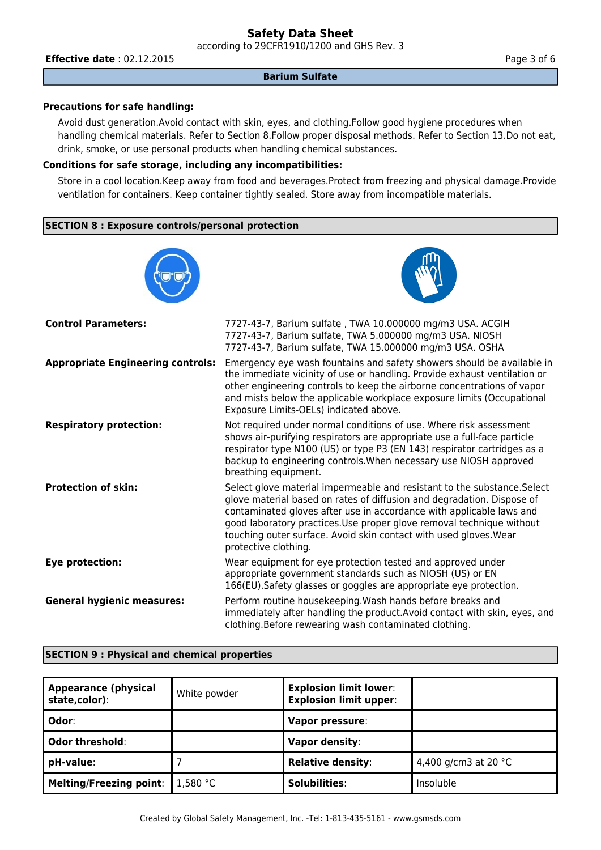according to 29CFR1910/1200 and GHS Rev. 3

**Effective date** : 02.12.2015 **Page 3 of 6** 

#### **Barium Sulfate**

## **Precautions for safe handling:**

Avoid dust generation.Avoid contact with skin, eyes, and clothing.Follow good hygiene procedures when handling chemical materials. Refer to Section 8.Follow proper disposal methods. Refer to Section 13.Do not eat, drink, smoke, or use personal products when handling chemical substances.

## **Conditions for safe storage, including any incompatibilities:**

Store in a cool location.Keep away from food and beverages.Protect from freezing and physical damage.Provide ventilation for containers. Keep container tightly sealed. Store away from incompatible materials.

## **SECTION 8 : Exposure controls/personal protection**

| <b>Control Parameters:</b>               | 7727-43-7, Barium sulfate, TWA 10.000000 mg/m3 USA. ACGIH<br>7727-43-7, Barium sulfate, TWA 5.000000 mg/m3 USA. NIOSH<br>7727-43-7, Barium sulfate, TWA 15.000000 mg/m3 USA. OSHA                                                                                                                                                                                                                |
|------------------------------------------|--------------------------------------------------------------------------------------------------------------------------------------------------------------------------------------------------------------------------------------------------------------------------------------------------------------------------------------------------------------------------------------------------|
| <b>Appropriate Engineering controls:</b> | Emergency eye wash fountains and safety showers should be available in<br>the immediate vicinity of use or handling. Provide exhaust ventilation or<br>other engineering controls to keep the airborne concentrations of vapor<br>and mists below the applicable workplace exposure limits (Occupational<br>Exposure Limits-OELs) indicated above.                                               |
| <b>Respiratory protection:</b>           | Not required under normal conditions of use. Where risk assessment<br>shows air-purifying respirators are appropriate use a full-face particle<br>respirator type N100 (US) or type P3 (EN 143) respirator cartridges as a<br>backup to engineering controls. When necessary use NIOSH approved<br>breathing equipment.                                                                          |
| <b>Protection of skin:</b>               | Select glove material impermeable and resistant to the substance. Select<br>glove material based on rates of diffusion and degradation. Dispose of<br>contaminated gloves after use in accordance with applicable laws and<br>good laboratory practices. Use proper glove removal technique without<br>touching outer surface. Avoid skin contact with used gloves. Wear<br>protective clothing. |
| Eye protection:                          | Wear equipment for eye protection tested and approved under<br>appropriate government standards such as NIOSH (US) or EN<br>166(EU). Safety glasses or goggles are appropriate eye protection.                                                                                                                                                                                                   |
| <b>General hygienic measures:</b>        | Perform routine housekeeping. Wash hands before breaks and<br>immediately after handling the product. Avoid contact with skin, eyes, and<br>clothing. Before rewearing wash contaminated clothing.                                                                                                                                                                                               |

#### **SECTION 9 : Physical and chemical properties**

| Appearance (physical<br>state,color): | White powder | <b>Explosion limit lower:</b><br><b>Explosion limit upper:</b> |                                |
|---------------------------------------|--------------|----------------------------------------------------------------|--------------------------------|
| ∣ Odor∶                               |              | Vapor pressure:                                                |                                |
| Odor threshold:                       |              | Vapor density:                                                 |                                |
| pH-value:                             |              | <b>Relative density:</b>                                       | 4,400 g/cm3 at 20 $^{\circ}$ C |
| Melting/Freezing point:               | 1,580 °C     | <b>Solubilities:</b>                                           | Insoluble                      |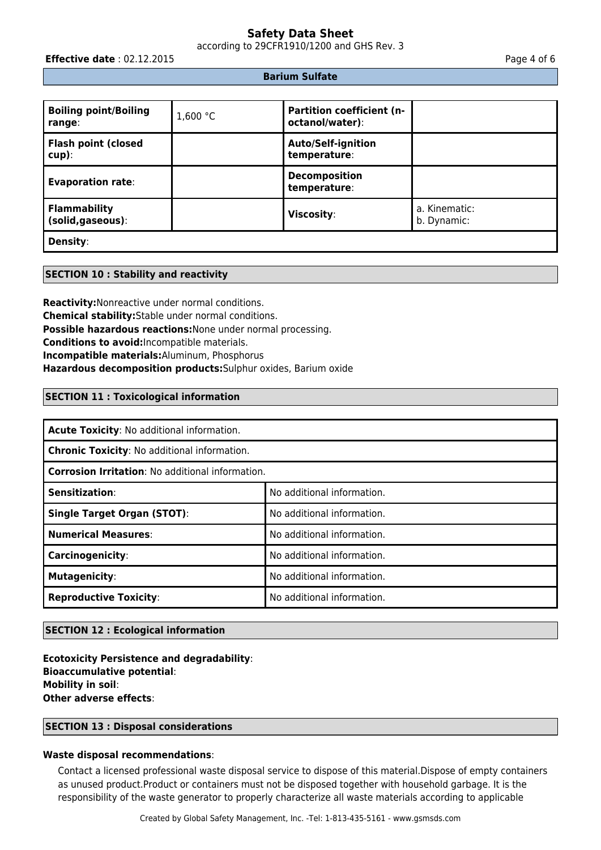according to 29CFR1910/1200 and GHS Rev. 3

**Effective date** : 02.12.2015 **Page 4 of 6 Page 4 of 6** 

#### **Barium Sulfate**

| <b>Boiling point/Boiling</b><br>range:   | 1,600 $°C$ | <b>Partition coefficient (n-</b><br>octanol/water): |                              |
|------------------------------------------|------------|-----------------------------------------------------|------------------------------|
| <b>Flash point (closed</b><br>$cup$ ):   |            | <b>Auto/Self-ignition</b><br>temperature:           |                              |
| <b>Evaporation rate:</b>                 |            | <b>Decomposition</b><br>temperature:                |                              |
| <b>Flammability</b><br>(solid, gaseous): |            | <b>Viscosity:</b>                                   | a. Kinematic:<br>b. Dynamic: |
| <b>Density:</b>                          |            |                                                     |                              |

#### **SECTION 10 : Stability and reactivity**

**Reactivity:**Nonreactive under normal conditions. **Chemical stability:**Stable under normal conditions. **Possible hazardous reactions:**None under normal processing. **Conditions to avoid:**Incompatible materials. **Incompatible materials:**Aluminum, Phosphorus **Hazardous decomposition products:**Sulphur oxides, Barium oxide

### **SECTION 11 : Toxicological information**

| Acute Toxicity: No additional information.              |                            |  |
|---------------------------------------------------------|----------------------------|--|
| <b>Chronic Toxicity: No additional information.</b>     |                            |  |
| <b>Corrosion Irritation: No additional information.</b> |                            |  |
| <b>Sensitization:</b>                                   | No additional information. |  |
| <b>Single Target Organ (STOT):</b>                      | No additional information. |  |
| <b>Numerical Measures:</b>                              | No additional information. |  |
| Carcinogenicity:                                        | No additional information. |  |
| <b>Mutagenicity:</b>                                    | No additional information. |  |
| <b>Reproductive Toxicity:</b>                           | No additional information. |  |

# **SECTION 12 : Ecological information**

**Ecotoxicity Persistence and degradability**: **Bioaccumulative potential**: **Mobility in soil**: **Other adverse effects**:

## **SECTION 13 : Disposal considerations**

#### **Waste disposal recommendations**:

Contact a licensed professional waste disposal service to dispose of this material.Dispose of empty containers as unused product.Product or containers must not be disposed together with household garbage. It is the responsibility of the waste generator to properly characterize all waste materials according to applicable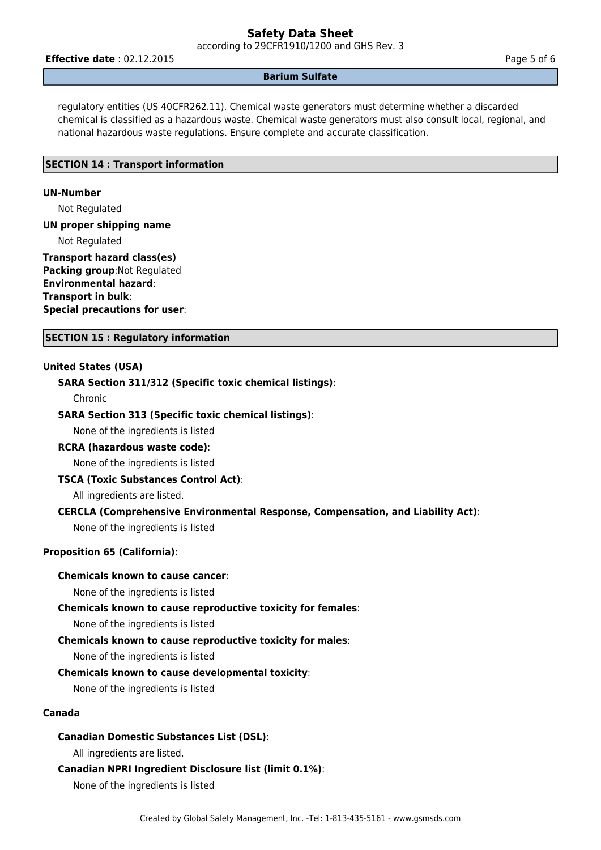according to 29CFR1910/1200 and GHS Rev. 3

**Effective date** : 02.12.2015 **Page 5 of 6** 

#### **Barium Sulfate**

regulatory entities (US 40CFR262.11). Chemical waste generators must determine whether a discarded chemical is classified as a hazardous waste. Chemical waste generators must also consult local, regional, and national hazardous waste regulations. Ensure complete and accurate classification.

#### **SECTION 14 : Transport information**

#### **UN-Number**

Not Regulated

#### **UN proper shipping name**

Not Regulated

## **Transport hazard class(es) Packing group**:Not Regulated **Environmental hazard**: **Transport in bulk**: **Special precautions for user**:

**SECTION 15 : Regulatory information**

### **United States (USA)**

#### **SARA Section 311/312 (Specific toxic chemical listings)**:

Chronic

#### **SARA Section 313 (Specific toxic chemical listings)**:

None of the ingredients is listed

## **RCRA (hazardous waste code)**:

None of the ingredients is listed

#### **TSCA (Toxic Substances Control Act)**:

All ingredients are listed.

#### **CERCLA (Comprehensive Environmental Response, Compensation, and Liability Act)**:

None of the ingredients is listed

## **Proposition 65 (California)**:

#### **Chemicals known to cause cancer**:

None of the ingredients is listed

#### **Chemicals known to cause reproductive toxicity for females**:

None of the ingredients is listed

#### **Chemicals known to cause reproductive toxicity for males**:

None of the ingredients is listed

#### **Chemicals known to cause developmental toxicity**:

None of the ingredients is listed

#### **Canada**

#### **Canadian Domestic Substances List (DSL)**:

All ingredients are listed.

#### **Canadian NPRI Ingredient Disclosure list (limit 0.1%)**:

None of the ingredients is listed